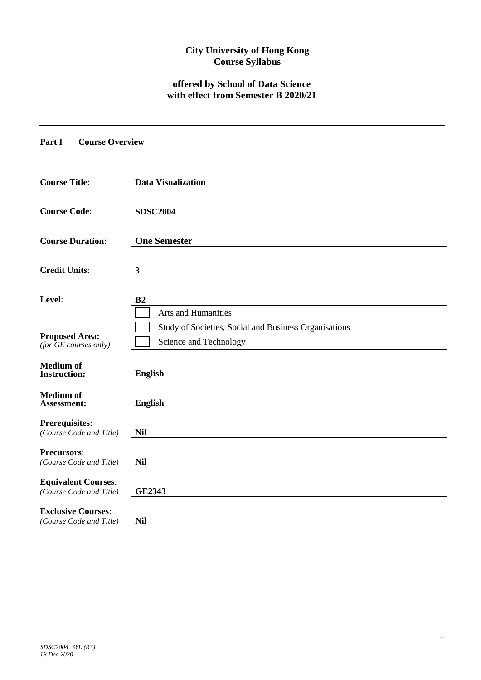## **City University of Hong Kong Course Syllabus**

# **offered by School of Data Science with effect from Semester B 2020/21**

**Part I Course Overview**

| <b>Course Title:</b>                                  | <b>Data Visualization</b>                                                       |
|-------------------------------------------------------|---------------------------------------------------------------------------------|
| <b>Course Code:</b>                                   | <b>SDSC2004</b>                                                                 |
| <b>Course Duration:</b>                               | <b>One Semester</b>                                                             |
| <b>Credit Units:</b>                                  | 3                                                                               |
| Level:                                                | B <sub>2</sub><br><b>Arts and Humanities</b>                                    |
| <b>Proposed Area:</b><br>(for $GE$ courses only)      | Study of Societies, Social and Business Organisations<br>Science and Technology |
| <b>Medium</b> of<br><b>Instruction:</b>               | <b>English</b>                                                                  |
| <b>Medium</b> of<br>Assessment:                       | <b>English</b>                                                                  |
| <b>Prerequisites:</b><br>(Course Code and Title)      | <b>Nil</b>                                                                      |
| <b>Precursors:</b><br>(Course Code and Title)         | <b>Nil</b>                                                                      |
| <b>Equivalent Courses:</b><br>(Course Code and Title) | <b>GE2343</b>                                                                   |
| <b>Exclusive Courses:</b><br>(Course Code and Title)  | <b>Nil</b>                                                                      |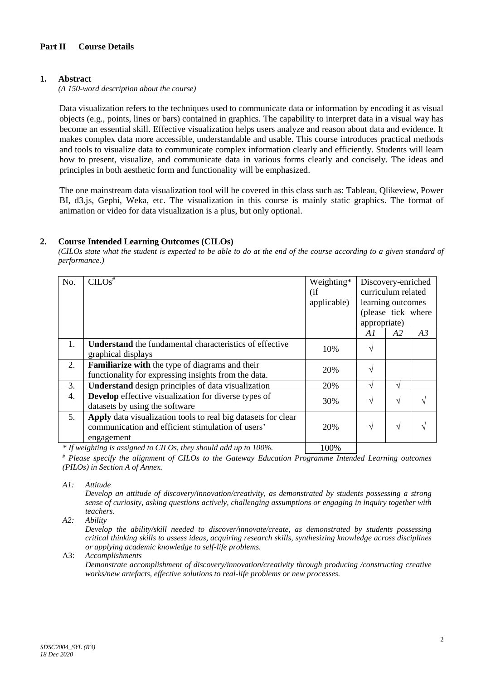## **1. Abstract**

*(A 150-word description about the course)*

Data visualization refers to the techniques used to communicate data or information by encoding it as visual objects (e.g., points, lines or bars) contained in graphics. The capability to interpret data in a visual way has become an essential skill. Effective visualization helps users analyze and reason about data and evidence. It makes complex data more accessible, understandable and usable. This course introduces practical methods and tools to visualize data to communicate complex information clearly and efficiently. Students will learn how to present, visualize, and communicate data in various forms clearly and concisely. The ideas and principles in both aesthetic form and functionality will be emphasized.

The one mainstream data visualization tool will be covered in this class such as: Tableau, Qlikeview, Power BI, d3.js, Gephi, Weka, etc. The visualization in this course is mainly static graphics. The format of animation or video for data visualization is a plus, but only optional.

### **2. Course Intended Learning Outcomes (CILOs)**

*(CILOs state what the student is expected to be able to do at the end of the course according to a given standard of performance.)*

| No. | $CLOS^{\overline{*}}$                                            | Weighting*  | Discovery-enriched |    |    |  |
|-----|------------------------------------------------------------------|-------------|--------------------|----|----|--|
|     |                                                                  | (i f)       | curriculum related |    |    |  |
|     |                                                                  | applicable) | learning outcomes  |    |    |  |
|     |                                                                  |             | (please tick where |    |    |  |
|     |                                                                  |             | appropriate)       |    |    |  |
|     |                                                                  |             | A 1                | A2 | A3 |  |
| 1.  | <b>Understand</b> the fundamental characteristics of effective   | 10%         | V                  |    |    |  |
|     | graphical displays                                               |             |                    |    |    |  |
| 2.  | Familiarize with the type of diagrams and their                  | 20%         | $\sqrt{}$          |    |    |  |
|     | functionality for expressing insights from the data.             |             |                    |    |    |  |
| 3.  | <b>Understand</b> design principles of data visualization        | 20%         | $\sqrt{}$          | N  |    |  |
| 4.  | <b>Develop</b> effective visualization for diverse types of      | 30%         | $\sqrt{}$          | N  |    |  |
|     | datasets by using the software                                   |             |                    |    |    |  |
| 5.  | Apply data visualization tools to real big datasets for clear    |             |                    |    |    |  |
|     | communication and efficient stimulation of users'                | 20%         | $\sqrt{ }$         | V  |    |  |
|     | engagement                                                       |             |                    |    |    |  |
|     | * If weighting is assigned to CILOs, they should add up to 100%. | 100%        |                    |    |    |  |

*\* If weighting is assigned to CILOs, they should add up to 100%.* 100%

*# Please specify the alignment of CILOs to the Gateway Education Programme Intended Learning outcomes (PILOs) in Section A of Annex.* 

*A1: Attitude* 

*Develop an attitude of discovery/innovation/creativity, as demonstrated by students possessing a strong sense of curiosity, asking questions actively, challenging assumptions or engaging in inquiry together with teachers.*

*A2: Ability*

*Develop the ability/skill needed to discover/innovate/create, as demonstrated by students possessing critical thinking skills to assess ideas, acquiring research skills, synthesizing knowledge across disciplines or applying academic knowledge to self-life problems.*

A3: *Accomplishments*

*Demonstrate accomplishment of discovery/innovation/creativity through producing /constructing creative works/new artefacts, effective solutions to real-life problems or new processes.*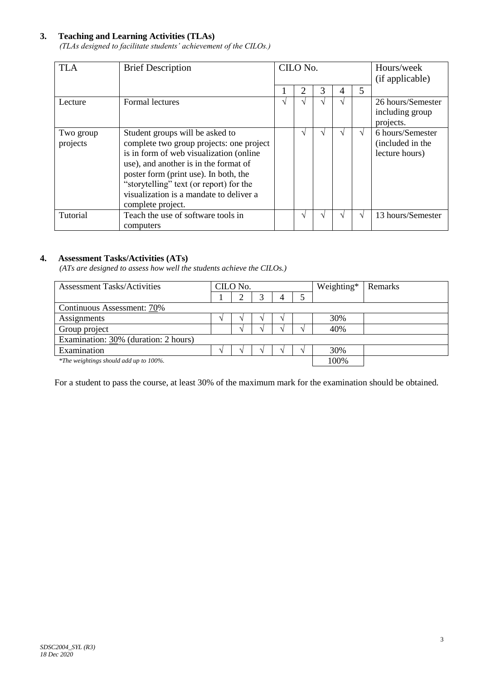## **3. Teaching and Learning Activities (TLAs)**

*(TLAs designed to facilitate students' achievement of the CILOs.)*

| <b>TLA</b>            | <b>Brief Description</b>                                                                                                                                                                                                                                                                                            | CILO No. |   |   |               | Hours/week<br>(if applicable) |                                                        |
|-----------------------|---------------------------------------------------------------------------------------------------------------------------------------------------------------------------------------------------------------------------------------------------------------------------------------------------------------------|----------|---|---|---------------|-------------------------------|--------------------------------------------------------|
|                       |                                                                                                                                                                                                                                                                                                                     |          | 2 | 3 | 4             | 5                             |                                                        |
| Lecture               | <b>Formal lectures</b>                                                                                                                                                                                                                                                                                              | ٦        |   |   | $\mathcal{N}$ |                               | 26 hours/Semester<br>including group<br>projects.      |
| Two group<br>projects | Student groups will be asked to<br>complete two group projects: one project<br>is in form of web visualization (online<br>use), and another is in the format of<br>poster form (print use). In both, the<br>"storytelling" text (or report) for the<br>visualization is a mandate to deliver a<br>complete project. |          |   |   |               | V                             | 6 hours/Semester<br>(included in the<br>lecture hours) |
| Tutorial              | Teach the use of software tools in<br>computers                                                                                                                                                                                                                                                                     |          |   |   | $\mathcal{L}$ | V                             | 13 hours/Semester                                      |

## **4. Assessment Tasks/Activities (ATs)**

*(ATs are designed to assess how well the students achieve the CILOs.)*

| <b>Assessment Tasks/Activities</b>     | CILO No. |  |  |    |  | Weighting* | Remarks |
|----------------------------------------|----------|--|--|----|--|------------|---------|
|                                        |          |  |  |    |  |            |         |
| Continuous Assessment: 70%             |          |  |  |    |  |            |         |
| Assignments                            |          |  |  | 1. |  | 30%        |         |
| Group project                          |          |  |  |    |  | 40%        |         |
| Examination: 30% (duration: 2 hours)   |          |  |  |    |  |            |         |
| Examination                            |          |  |  |    |  | 30%        |         |
| *The weightings should add up to 100%. |          |  |  |    |  | 100%       |         |

For a student to pass the course, at least 30% of the maximum mark for the examination should be obtained.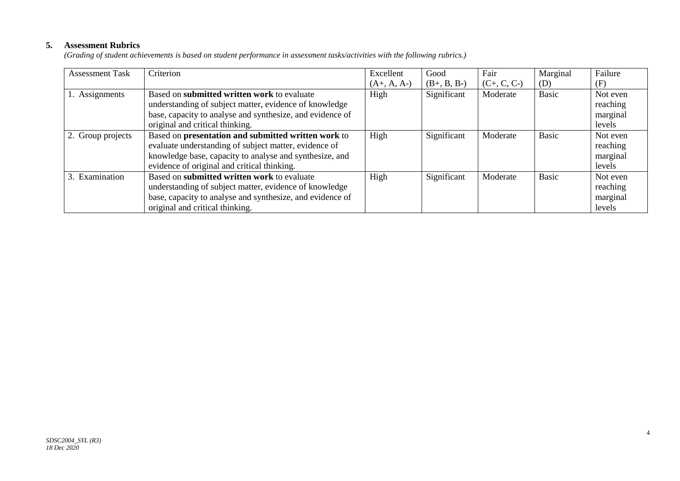## **5. Assessment Rubrics**

*(Grading of student achievements is based on student performance in assessment tasks/activities with the following rubrics.)*

| <b>Assessment Task</b> | Criterion                                                 | Excellent     | Good          | Fair          | Marginal     | Failure  |
|------------------------|-----------------------------------------------------------|---------------|---------------|---------------|--------------|----------|
|                        |                                                           | $(A+, A, A-)$ | $(B+, B, B-)$ | $(C+, C, C-)$ | (D)          | (F)      |
| 1. Assignments         | Based on submitted written work to evaluate               | High          | Significant   | Moderate      | <b>Basic</b> | Not even |
|                        | understanding of subject matter, evidence of knowledge    |               |               |               |              | reaching |
|                        | base, capacity to analyse and synthesize, and evidence of |               |               |               |              | marginal |
|                        | original and critical thinking.                           |               |               |               |              | levels   |
| 2. Group projects      | Based on presentation and submitted written work to       | High          | Significant   | Moderate      | <b>Basic</b> | Not even |
|                        | evaluate understanding of subject matter, evidence of     |               |               |               |              | reaching |
|                        | knowledge base, capacity to analyse and synthesize, and   |               |               |               |              | marginal |
|                        | evidence of original and critical thinking.               |               |               |               |              | levels   |
| 3. Examination         | Based on submitted written work to evaluate               | High          | Significant   | Moderate      | <b>Basic</b> | Not even |
|                        | understanding of subject matter, evidence of knowledge    |               |               |               |              | reaching |
|                        | base, capacity to analyse and synthesize, and evidence of |               |               |               |              | marginal |
|                        | original and critical thinking.                           |               |               |               |              | levels   |